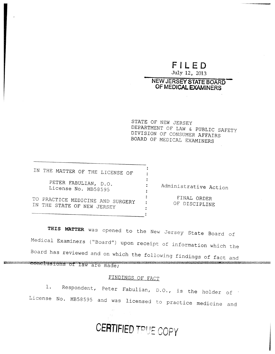# **FILED**

July 12, 2013

### NEW JERSEY STATE BOARD OF MEDICAL**EXAMINERS**

STATE OF NEW JERSEY DEPARTMENT OF LAW & PUBLIC SAFETY DIVISION OF CONSUMER AFFAIRS BOARD OF MEDICAL EXAMINERS

IN THE MATTER OF THE LICENSE OF PETER FABULIAN, D.O. License No. MB58595 Administrative Action TO PRACTICE MEDICINE AND SURGERY : FINAL ORDER IN THE STATE OF NEW JERSERY : OF DISCIPLINE

**THIS MATTER** was opened to the New Jersey State Board of Medical Examiners ("Board") upon receipt of information which the Board has reviewed and on which the following findings of fact and conclusions of law are made;

#### FINDINGS OF FACT

1. Respondent, Peter Fabulian, D.O., is the holder of License No. MB58595 and was licensed to practice medicine and

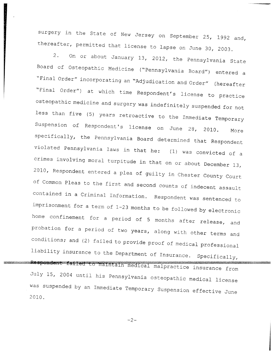surgery in the State of New Jersey on September 25, 1992 and, thereafter, permitted that license to lapse on June 30, 2003.

2. On or about January 13, 2012, the Pennsylvania State Board of Osteopathic Medicine ("Pennsylvania Board") entered a "Final Order" incorporating an "Adjudication and Order" (hereafter "Final Order") at which time Respondent's license to practice osteopathic medicine and surgery was indefinitely suspended for not less than five (5) years retroactive to the Immediate Temporary Suspension of Respondent's license on June 28, 2010. More specifically, the Pennsylvania Board determined that Respondent violated Pennsylvania laws in that he: (1) was convicted of a crimes involving moral turpitude in that on or about December 13, 2010, Respondent entered a plea of guilty in Chester County Court of Common Pleas to the first and second counts of indecent assault contained in a Criminal Information. Respondent was sentenced to imprisonment for a term of 1-23 months to be followed by electronic home confinement for a period of 5 months after release, and probation for a period of two years, along with other terms and conditions; and (2) failed to provide proof of medical professional liability insurance to the Department of Insurance Specificall Lespondent failed to maintain medical malpractice insurance from July 15, 2004 until his Pennsylvania osteopathic medical license was suspended by an Immediate Temporary Suspension effective June 2010.

-2-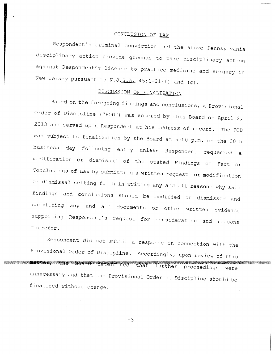#### CONCLUSION OF LAW

Respondent's criminal conviction and the above Pennsylvania disciplinary action provide grounds to take disciplinary action against Respondent's license to practice medicine and surgery in New Jersey pursuant to  $N.J.S.A.$  45:1-21(f) and (g).

## DISCUSSION ON FINALIZATION

Based on the foregoing findings and conclusions, a Provisional Order of Discipline ("POD") was entered by this Board on April 2, 2013 and served upon Respondent at his address of record. The POD was subject to finalization by the Board at 5:00 p.m. on the 30th business day following entry unless Respondent requested a modification or dismissal of the stated Findings of Fact or Conclusions of Law by submitting a written request for modification or dismissal setting forth in writing any and all reasons why said findings and conclusions should be modified or dismissed and submitting any and all documents or other written evidence supporting Respondent's request for consideration and reasons therefor.

Respondent did not submit a response in connection with the Provisional Order of Discipline. Accordingly, upon review of this <u> La Carlo de la Carlo de la Carlo de la Carlo de la Carlo de la Carlo de la Carlo de la Carlo de la Carlo de la Carlo de la Carlo de la Carlo de la Carlo de la Carlo de la Carlo de la Carlo de la Carlo de la Carlo de la C</u> determined that further proceedings wer unnecessary and that the Provisional Order of Discipline should be finalized without change.

 $-3-$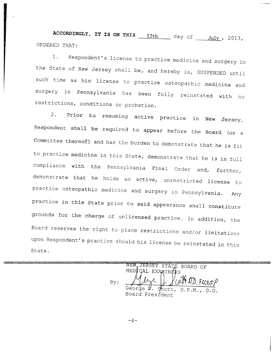ACCORDINGLY, IT IS ON THIS  $\frac{12th}{\text{day of}}$  day of  $\frac{\text{July}}{\text{July}}$ , 2013, ORDERED THAT:

1. Respondent's license to practice medicine and surgery in the State of New Jersey shall be, and hereby is, SUSPENDED until such time as his license to practice osteopathic medicine and surgery in Pennsylvania has been fully reinstated with no restrictions, conditions or probation.

2. Prior to resuming active practice in New Jersey, Respondent shall be required to appear before the **Board (or a** Committee thereof) and has the burden to demonstrate that he is fit to practice medicine in this State, demonstrate that he is in full compliance with the Pennsylvania Final Order and, further, demonstrate that he holds an active, unrestricted license to practice osteopathic medicine and surgery in Pennsylvania. Any practice in this State prior to said appearance shall constitute grounds for the charge of unlicensed practice. In addition, the Board reserves the right to place restrictions and/or limitations upon Respondent's practice should his license be reinstated in this State.

<u> 1989 - Johann Stein, martin amerikan basar (b. 1989)</u> **Contractor** Communication NEW JERSEY STATE BOARD OF MEDICAL EXAMINERS By: George V. Scott, D.P.M., **Board President**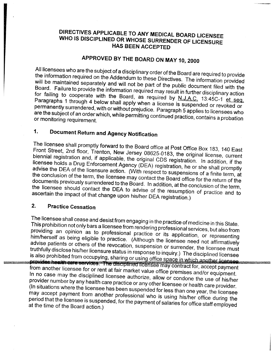## DIRECTIVES APPLICABLE TO ANY MEDICAL BOARD LICENSEE **WHO IS DISCIPLINED OR WHOSE SURRENDER OF LICENSURE HAS BEEN** ACCEPTED

# **APPROVED BY THE BOARD ON MAY 10, 2000**

All licensees who are the subject of a disciplinary order of the**Board are**required to provide the information required on the Addendum to these Directives. The information provided will be maintained separately **and will not** be part of the public document filed with the Board. Failure to provide the information required may result in further disciplinary action for failing to cooperate with the Board, as required by  $N.J.A.C.$  13:45C-1 et seq. **Paragraphs** 1 through 4 below shall apply when a license is suspended or revoked or permanently surrendered, with or without prejudice. Paragraph 5 applies to licensees who **are the**subject of an order which, while permitting continued practice, contains a probation or monitoring requirement.

# **1. Document Return and** Agency Notification

The licensee shall promptly forward to the Board office at Post Office Box 183, 140 East Front Street, 2nd floor, Trenton, New Jersey 08625-0183, the original license, current biennial registration and, if applicable, the original CDS registration. In addition, if the licensee holds a Drug Enforcement Agency (DEA) registration, he or she shall promptly advise the DEA of the licensure action. (With respect to suspensions of a finite term, at the conclusion of the term, the licensee may contact the Board office for the return of the documents previously surrendered to the Board. In addition, at the conclusion of the term, the licensee should contact the DEA to advise of the resumption of practice and to ascertain the impact of that change upon his/her DEA registration.)

### **2. Practice Cessation**

The licensee shall cease and desist from engaging in the practice of medicine in this State. This prohibition not only bars a licensee from rendering professional services, but also from providing an opinion as to professional practice or its application, or representing him/herself as being eligible to practice. (Although the licensee need not affirmatively advise patients or others of the revocation, suspension or surrender, the licensee must truthfully disclose his/her licensure status in response to inquiry.) The disciplined licensee is also prohibited from occupying, sharing or using office space in which another licensee.<br>**provides health care services. The disciplined licensee may contract for, accept payment** from another licensee for or rent at fair market value office premises and/or equipment. In no case may the disciplined licensee authorize, allow or condone the use of his/her provider number by any health care practice or any other licenses as beauty use of his/her (In situations where the licensee has been suspended for less than one year, the licensee may accept payment from another professional who is using his/her office during the period that the licensee is suspended, for the payment of salaries for office staff employed at the time of the Board action.)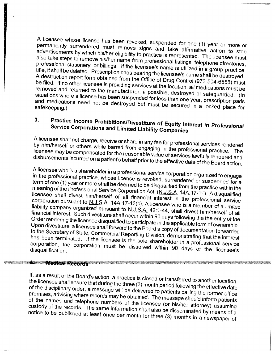A licensee whose license has been revoked, suspended for one (1) year or more or permanently surrendered must remove signs and take affirmative action to stop advertisements by which his/her eligibility to practice is represented. The licensee must also take steps to remove his/her name from professional listings, telephone directories, professional stationery, or billings. If the licensee's name is utilized in a group practice title, it shall be deleted. Prescription pads bearing the licensee's name shall be destroyed. A destruction report form obtained from the Office of Drug Control (973-504-6558) must be filed. If no other licensee is providing services at the location, all medications must be removed and returned to the manufacturer, if possible, destroyed or safeguarded. (In situations where a license has been suspended for less than one year, prescription pads and medications need not be destroyed but must be secured in the year, prescription safekeeping.)

# **3. Practice Income Prohibitions** /**Divestiture of Equity Interest in Professional Service Corporations and Limited Liability Companies**

A licensee shall not charge, receive or share in any fee for professional services rendered by him/herself or others while barred from engaging in the professional practice. The licensee may be compensated for the reasonable value of services lawfully rendered and disbursements incurred on a patient's behalf prior to the effective date of the Board action.

A licensee who is a shareholder in a professional service corporation organized to engage in the professional practice, whose license is revoked, surrendered or suspended for a term of one (1) year or more shall be deemed to be disqualified from the practice within the meaning of the Professional Service Corporation Act. (N.J.S.A. 14A:17-11). A disqualified licensee shall divest him/herself of all financial interest in the professional service corporation pursuant to N.J.S.A.  $14A.17-13(c)$ . A licensee who is a member of a limited liability company organized pursuant to N.J.S.A. inclused wild is a member of a lin liability company organized pursuant to N.J.S.A. 42:1-44, shall divest him/herself of all financial interest. Such divestiture shall occur within 90 days following the the entry of the Order rendering the licensee disquali financial interest. Such divestiture shall occur within 90 days following the the entry of the Upon divestiture, a licensee shall forward to the Board a copy of documentation forwarded to the Secretary of State, Commercial Reporting Division, demonstration forwarded has been terminated. If the licensee is the sole about the interval serions that the intere has been terminated. If the licensee is the sole shareholder in a professional service<br>corporation, the corporation must be dissolved within 90 days of the licensee's disqualification.

### **Medical Records**

If, as a result of the Board's action, a practice is closed or transferred to another location, the licensee shall ensure that during the three (3) month period to another location, of the disciplinary order, a message will be delivered to partient will will be effective date of the disciplinary order, a message will be delivered to patients calling the former office<br>premises, advising where records may be obtained. The message should inform patients of the names and telephone numbers of the licensee (or his/her attorney) assuming custody of the records. The same information shall also be district attorney) assuming notice to be published at least once per month for three (9) months in a new means of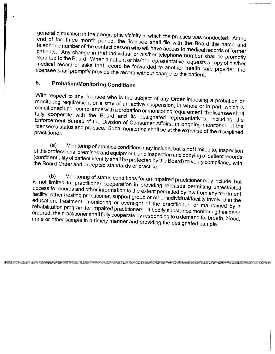general circulation in the geographic vicinity in which the practice was conducted. At the end of the three month period, the licensee shall file with the Board the name and telephone number of the contact person who will have access to medical records of former patients. Any change in that individual or his/her telephone number shall be promptly reported to the Board. When a patient or his/her representative requests a copy of his/her medical record or asks that record be forwarded to another health care provider, the licensee shall promptly provide the record without charge to the patient.

# **5. Probation**/**Monitoring Conditions**

With respect to any licensee who is the subject of any Order imposing a probation or monitoring requirement or a stay of an active suspension, in whole or in part, which is conditioned upon compliance with a probation or monitoring requirement, the licensee shall fully cooperate with the Board and its designated representatives, including the Enforcement Bureau of the Division of Consumer Affairs, in ongoing monitoring of the licensee's status and practice. Such monitoring shall be at the expension of the discipline of the disciplined of the practitioner.

(a) Monitoring of practice conditions may include, but is not limited to, inspection of the professional premises and equipment, and Inspection and copying of patient records (confidentiality of patient identity shall be protected by the Board) to verify compliance with the Board Order and accepted standards of practice.

(b) Monitoring of status conditions for an impaired practitioner may include, but is not limited to, practitioner cooperation in providing releases permitting unrestricted access to records and other information to the extent permitted by law from any treatment facility, other treating practitioner, support group or other individual/facility involved in the education, treatment, monitoring or oversight of the practitioner, or maintained by a rehabilitation program for impaired practitioners. If bodily substance monitoring has been ordered, the practitioner shall fully cooperate by responding to a demand for breath, blood, urine or other sample in a timely manner and providing the designated sample.